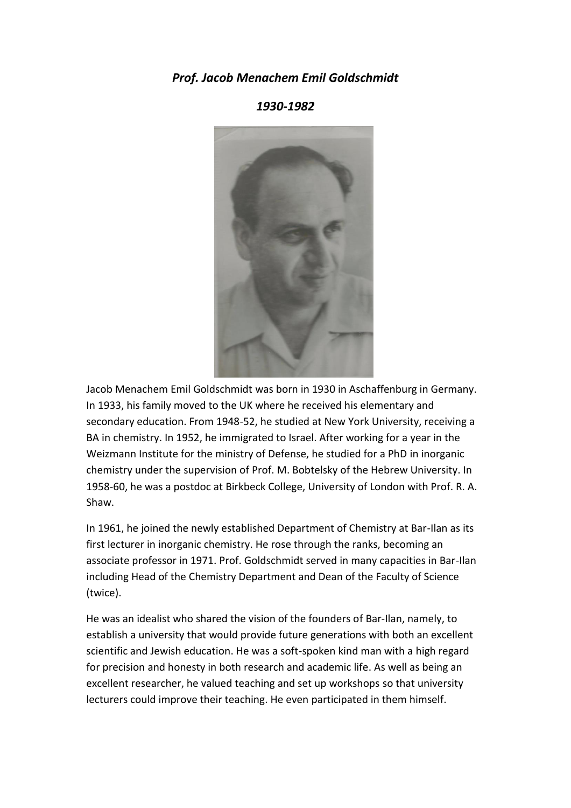## *Prof. Jacob Menachem Emil Goldschmidt*

*1930-1982*



Jacob Menachem Emil Goldschmidt was born in 1930 in Aschaffenburg in Germany. In 1933, his family moved to the UK where he received his elementary and secondary education. From 1948-52, he studied at New York University, receiving a BA in chemistry. In 1952, he immigrated to Israel. After working for a year in the Weizmann Institute for the ministry of Defense, he studied for a PhD in inorganic chemistry under the supervision of Prof. M. Bobtelsky of the Hebrew University. In 1958-60, he was a postdoc at Birkbeck College, University of London with Prof. R. A. Shaw.

In 1961, he joined the newly established Department of Chemistry at Bar-Ilan as its first lecturer in inorganic chemistry. He rose through the ranks, becoming an associate professor in 1971. Prof. Goldschmidt served in many capacities in Bar-Ilan including Head of the Chemistry Department and Dean of the Faculty of Science (twice).

He was an idealist who shared the vision of the founders of Bar-Ilan, namely, to establish a university that would provide future generations with both an excellent scientific and Jewish education. He was a soft-spoken kind man with a high regard for precision and honesty in both research and academic life. As well as being an excellent researcher, he valued teaching and set up workshops so that university lecturers could improve their teaching. He even participated in them himself.